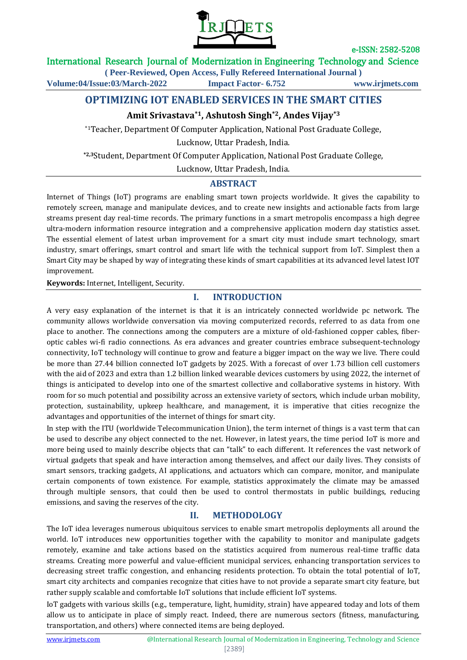

## International Research Journal of Modernization in Engineering Technology and Science

**( Peer-Reviewed, Open Access, Fully Refereed International Journal )**

**Volume:04/Issue:03/March-2022 Impact Factor- 6.752 www.irjmets.com**

# **OPTIMIZING IOT ENABLED SERVICES IN THE SMART CITIES**

## **Amit Srivastava\*1, Ashutosh Singh\*2, Andes Vijay\*3**

\*1Teacher, Department Of Computer Application, National Post Graduate College,

Lucknow, Uttar Pradesh, India.

**\*2,3**Student, Department Of Computer Application, National Post Graduate College,

Lucknow, Uttar Pradesh, India.

## **ABSTRACT**

Internet of Things (IoT) programs are enabling smart town projects worldwide. It gives the capability to remotely screen, manage and manipulate devices, and to create new insights and actionable facts from large streams present day real-time records. The primary functions in a smart metropolis encompass a high degree ultra-modern information resource integration and a comprehensive application modern day statistics asset. The essential element of latest urban improvement for a smart city must include smart technology, smart industry, smart offerings, smart control and smart life with the technical support from IoT. Simplest then a Smart City may be shaped by way of integrating these kinds of smart capabilities at its advanced level latest IOT improvement.

**Keywords:** Internet, Intelligent, Security.

## **I. INTRODUCTION**

A very easy explanation of the internet is that it is an intricately connected worldwide pc network. The community allows worldwide conversation via moving computerized records, referred to as data from one place to another. The connections among the computers are a mixture of old-fashioned copper cables, fiberoptic cables wi-fi radio connections. As era advances and greater countries embrace subsequent-technology connectivity, IoT technology will continue to grow and feature a bigger impact on the way we live. There could be more than 27.44 billion connected IoT gadgets by 2025. With a forecast of over 1.73 billion cell customers with the aid of 2023 and extra than 1.2 billion linked wearable devices customers by using 2022, the internet of things is anticipated to develop into one of the smartest collective and collaborative systems in history. With room for so much potential and possibility across an extensive variety of sectors, which include urban mobility, protection, sustainability, upkeep healthcare, and management, it is imperative that cities recognize the advantages and opportunities of the internet of things for smart city.

In step with the ITU (worldwide Telecommunication Union), the term internet of things is a vast term that can be used to describe any object connected to the net. However, in latest years, the time period IoT is more and more being used to mainly describe objects that can "talk" to each different. It references the vast network of virtual gadgets that speak and have interaction among themselves, and affect our daily lives. They consists of smart sensors, tracking gadgets, AI applications, and actuators which can compare, monitor, and manipulate certain components of town existence. For example, statistics approximately the climate may be amassed through multiple sensors, that could then be used to control thermostats in public buildings, reducing emissions, and saving the reserves of the city.

## **II. METHODOLOGY**

The IoT idea leverages numerous ubiquitous services to enable smart metropolis deployments all around the world. IoT introduces new opportunities together with the capability to monitor and manipulate gadgets remotely, examine and take actions based on the statistics acquired from numerous real-time traffic data streams. Creating more powerful and value-efficient municipal services, enhancing transportation services to decreasing street traffic congestion, and enhancing residents protection. To obtain the total potential of IoT, smart city architects and companies recognize that cities have to not provide a separate smart city feature, but rather supply scalable and comfortable IoT solutions that include efficient IoT systems.

IoT gadgets with various skills (e.g., temperature, light, humidity, strain) have appeared today and lots of them allow us to anticipate in place of simply react. Indeed, there are numerous sectors (fitness, manufacturing, transportation, and others) where connected items are being deployed.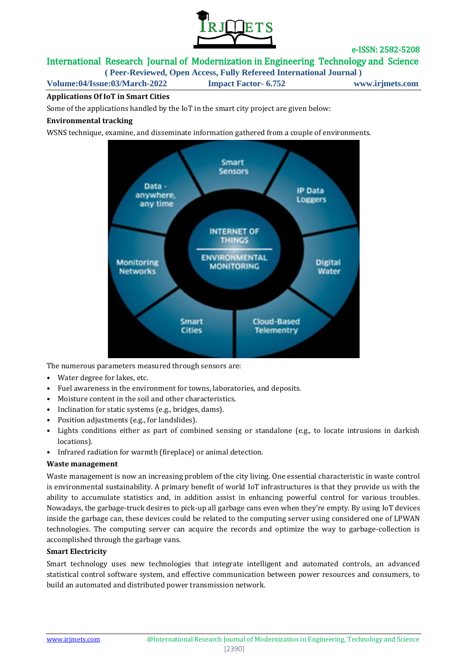

# International Research Journal of Modernization in Engineering Technology and Science

**( Peer-Reviewed, Open Access, Fully Refereed International Journal )**

**Volume:04/Issue:03/March-2022 Impact Factor- 6.752 www.irjmets.com**

## **Applications Of IoT in Smart Cities**

Some of the applications handled by the IoT in the smart city project are given below:

### **Environmental tracking**

WSNS technique, examine, and disseminate information gathered from a couple of environments.



The numerous parameters measured through sensors are:

- Water degree for lakes, etc.
- Fuel awareness in the environment for towns, laboratories, and deposits.
- Moisture content in the soil and other characteristics.
- Inclination for static systems (e.g., bridges, dams).
- Position adjustments (e.g., for landslides).
- Lights conditions either as part of combined sensing or standalone (e.g., to locate intrusions in darkish locations).
- Infrared radiation for warmth (fireplace) or animal detection.

#### **Waste management**

Waste management is now an increasing problem of the city living. One essential characteristic in waste control is environmental sustainability. A primary benefit of world IoT infrastructures is that they provide us with the ability to accumulate statistics and, in addition assist in enhancing powerful control for various troubles. Nowadays, the garbage-truck desires to pick-up all garbage cans even when they're empty. By using IoT devices inside the garbage can, these devices could be related to the computing server using considered one of LPWAN technologies. The computing server can acquire the records and optimize the way to garbage-collection is accomplished through the garbage vans.

#### **Smart Electricity**

Smart technology uses new technologies that integrate intelligent and automated controls, an advanced statistical control software system, and effective communication between power resources and consumers, to build an automated and distributed power transmission network.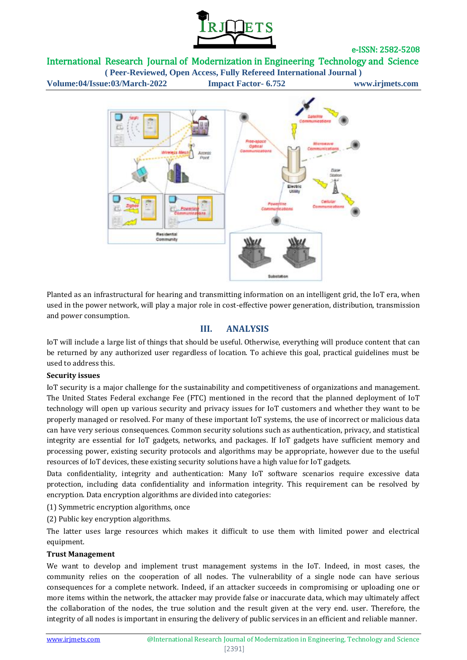

## International Research Journal of Modernization in Engineering Technology and Science

**( Peer-Reviewed, Open Access, Fully Refereed International Journal ) Volume:04/Issue:03/March-2022 Impact Factor- 6.752 www.irjmets.com**



Planted as an infrastructural for hearing and transmitting information on an intelligent grid, the IoT era, when used in the power network, will play a major role in cost-effective power generation, distribution, transmission and power consumption.

## **III. ANALYSIS**

IoT will include a large list of things that should be useful. Otherwise, everything will produce content that can be returned by any authorized user regardless of location. To achieve this goal, practical guidelines must be used to address this.

## **Security issues**

IoT security is a major challenge for the sustainability and competitiveness of organizations and management. The United States Federal exchange Fee (FTC) mentioned in the record that the planned deployment of IoT technology will open up various security and privacy issues for IoT customers and whether they want to be properly managed or resolved. For many of these important IoT systems, the use of incorrect or malicious data can have very serious consequences. Common security solutions such as authentication, privacy, and statistical integrity are essential for IoT gadgets, networks, and packages. If IoT gadgets have sufficient memory and processing power, existing security protocols and algorithms may be appropriate, however due to the useful resources of IoT devices, these existing security solutions have a high value for IoT gadgets.

Data confidentiality, integrity and authentication: Many IoT software scenarios require excessive data protection, including data confidentiality and information integrity. This requirement can be resolved by encryption. Data encryption algorithms are divided into categories:

(1) Symmetric encryption algorithms, once

(2) Public key encryption algorithms.

The latter uses large resources which makes it difficult to use them with limited power and electrical equipment.

#### **Trust Management**

We want to develop and implement trust management systems in the IoT. Indeed, in most cases, the community relies on the cooperation of all nodes. The vulnerability of a single node can have serious consequences for a complete network. Indeed, if an attacker succeeds in compromising or uploading one or more items within the network, the attacker may provide false or inaccurate data, which may ultimately affect the collaboration of the nodes, the true solution and the result given at the very end. user. Therefore, the integrity of all nodes is important in ensuring the delivery of public services in an efficient and reliable manner.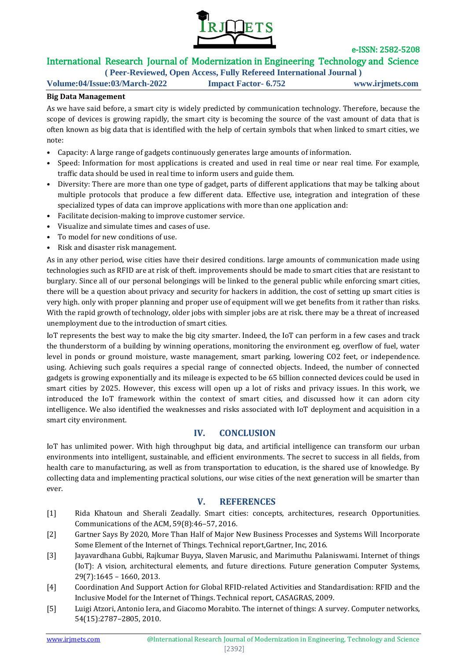

# International Research Journal of Modernization in Engineering Technology and Science

**( Peer-Reviewed, Open Access, Fully Refereed International Journal ) Volume:04/Issue:03/March-2022 Impact Factor- 6.752 www.irjmets.com**

### **Big Data Management**

As we have said before, a smart city is widely predicted by communication technology. Therefore, because the scope of devices is growing rapidly, the smart city is becoming the source of the vast amount of data that is often known as big data that is identified with the help of certain symbols that when linked to smart cities, we note:

- Capacity: A large range of gadgets continuously generates large amounts of information.
- Speed: Information for most applications is created and used in real time or near real time. For example, traffic data should be used in real time to inform users and guide them.
- Diversity: There are more than one type of gadget, parts of different applications that may be talking about multiple protocols that produce a few different data. Effective use, integration and integration of these specialized types of data can improve applications with more than one application and:
- Facilitate decision-making to improve customer service.
- Visualize and simulate times and cases of use.
- To model for new conditions of use.
- Risk and disaster risk management.

As in any other period, wise cities have their desired conditions. large amounts of communication made using technologies such as RFID are at risk of theft. improvements should be made to smart cities that are resistant to burglary. Since all of our personal belongings will be linked to the general public while enforcing smart cities, there will be a question about privacy and security for hackers in addition, the cost of setting up smart cities is very high. only with proper planning and proper use of equipment will we get benefits from it rather than risks. With the rapid growth of technology, older jobs with simpler jobs are at risk. there may be a threat of increased unemployment due to the introduction of smart cities.

IoT represents the best way to make the big city smarter. Indeed, the IoT can perform in a few cases and track the thunderstorm of a building by winning operations, monitoring the environment eg, overflow of fuel, water level in ponds or ground moisture, waste management, smart parking, lowering CO2 feet, or independence. using. Achieving such goals requires a special range of connected objects. Indeed, the number of connected gadgets is growing exponentially and its mileage is expected to be 65 billion connected devices could be used in smart cities by 2025. However, this excess will open up a lot of risks and privacy issues. In this work, we introduced the IoT framework within the context of smart cities, and discussed how it can adorn city intelligence. We also identified the weaknesses and risks associated with IoT deployment and acquisition in a smart city environment.

## **IV. CONCLUSION**

IoT has unlimited power. With high throughput big data, and artificial intelligence can transform our urban environments into intelligent, sustainable, and efficient environments. The secret to success in all fields, from health care to manufacturing, as well as from transportation to education, is the shared use of knowledge. By collecting data and implementing practical solutions, our wise cities of the next generation will be smarter than ever.

## **V. REFERENCES**

- [1] Rida Khatoun and Sherali Zeadally. Smart cities: concepts, architectures, research Opportunities. Communications of the ACM, 59(8):46–57, 2016.
- [2] Gartner Says By 2020, More Than Half of Major New Business Processes and Systems Will Incorporate Some Element of the Internet of Things. Technical report,Gartner, Inc, 2016.
- [3] Jayavardhana Gubbi, Rajkumar Buyya, Slaven Marusic, and Marimuthu Palaniswami. Internet of things (IoT): A vision, architectural elements, and future directions. Future generation Computer Systems, 29(7):1645 – 1660, 2013.
- [4] Coordination And Support Action for Global RFID-related Activities and Standardisation: RFID and the Inclusive Model for the Internet of Things. Technical report, CASAGRAS, 2009.
- [5] Luigi Atzori, Antonio Iera, and Giacomo Morabito. The internet of things: A survey. Computer networks, 54(15):2787–2805, 2010.